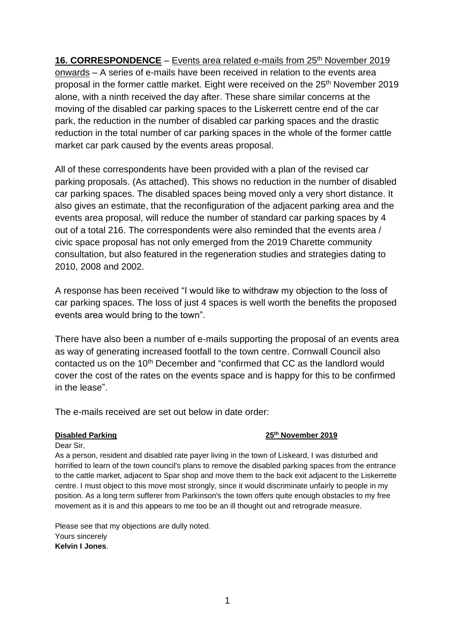**16. CORRESPONDENCE** – Events area related e-mails from 25<sup>th</sup> November 2019 onwards – A series of e-mails have been received in relation to the events area proposal in the former cattle market. Eight were received on the 25<sup>th</sup> November 2019 alone, with a ninth received the day after. These share similar concerns at the moving of the disabled car parking spaces to the Liskerrett centre end of the car park, the reduction in the number of disabled car parking spaces and the drastic reduction in the total number of car parking spaces in the whole of the former cattle market car park caused by the events areas proposal.

All of these correspondents have been provided with a plan of the revised car parking proposals. (As attached). This shows no reduction in the number of disabled car parking spaces. The disabled spaces being moved only a very short distance. It also gives an estimate, that the reconfiguration of the adjacent parking area and the events area proposal, will reduce the number of standard car parking spaces by 4 out of a total 216. The correspondents were also reminded that the events area / civic space proposal has not only emerged from the 2019 Charette community consultation, but also featured in the regeneration studies and strategies dating to 2010, 2008 and 2002.

A response has been received "I would like to withdraw my objection to the loss of car parking spaces. The loss of just 4 spaces is well worth the benefits the proposed events area would bring to the town".

There have also been a number of e-mails supporting the proposal of an events area as way of generating increased footfall to the town centre. Cornwall Council also contacted us on the 10<sup>th</sup> December and "confirmed that CC as the landlord would cover the cost of the rates on the events space and is happy for this to be confirmed in the lease".

The e-mails received are set out below in date order:

## **Disabled Parking 25th November 2019**

Dear Sir,

As a person, resident and disabled rate payer living in the town of Liskeard, I was disturbed and horrified to learn of the town council's plans to remove the disabled parking spaces from the entrance to the cattle market, adjacent to Spar shop and move them to the back exit adjacent to the Liskerrette centre. I must object to this move most strongly, since it would discriminate unfairly to people in my position. As a long term sufferer from Parkinson's the town offers quite enough obstacles to my free movement as it is and this appears to me too be an ill thought out and retrograde measure.

Please see that my objections are dully noted. Yours sincerely **Kelvin I Jones**.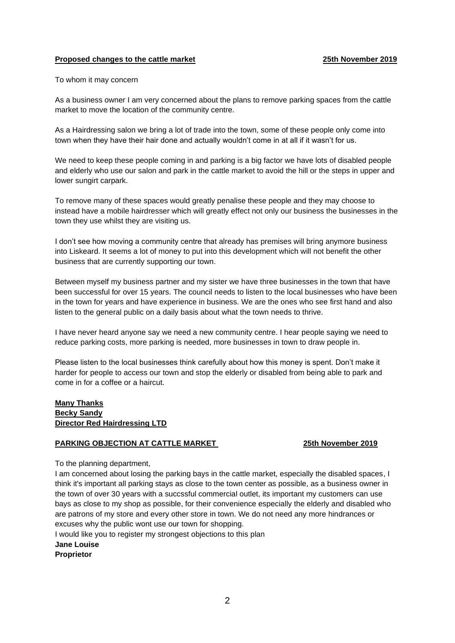## **Proposed changes to the cattle market 25th November 2019**

### To whom it may concern

As a business owner I am very concerned about the plans to remove parking spaces from the cattle market to move the location of the community centre.

As a Hairdressing salon we bring a lot of trade into the town, some of these people only come into town when they have their hair done and actually wouldn't come in at all if it wasn't for us.

We need to keep these people coming in and parking is a big factor we have lots of disabled people and elderly who use our salon and park in the cattle market to avoid the hill or the steps in upper and lower sungirt carpark.

To remove many of these spaces would greatly penalise these people and they may choose to instead have a mobile hairdresser which will greatly effect not only our business the businesses in the town they use whilst they are visiting us.

I don't see how moving a community centre that already has premises will bring anymore business into Liskeard. It seems a lot of money to put into this development which will not benefit the other business that are currently supporting our town.

Between myself my business partner and my sister we have three businesses in the town that have been successful for over 15 years. The council needs to listen to the local businesses who have been in the town for years and have experience in business. We are the ones who see first hand and also listen to the general public on a daily basis about what the town needs to thrive.

I have never heard anyone say we need a new community centre. I hear people saying we need to reduce parking costs, more parking is needed, more businesses in town to draw people in.

Please listen to the local businesses think carefully about how this money is spent. Don't make it harder for people to access our town and stop the elderly or disabled from being able to park and come in for a coffee or a haircut.

## **Many Thanks Becky Sandy Director Red Hairdressing LTD**

### **PARKING OBJECTION AT CATTLE MARKET 25th November 2019**

To the planning department,

I am concerned about losing the parking bays in the cattle market, especially the disabled spaces, I think it's important all parking stays as close to the town center as possible, as a business owner in the town of over 30 years with a succssful commercial outlet, its important my customers can use bays as close to my shop as possible, for their convenience especially the elderly and disabled who are patrons of my store and every other store in town. We do not need any more hindrances or excuses why the public wont use our town for shopping.

I would like you to register my strongest objections to this plan

**Jane Louise** 

**Proprietor**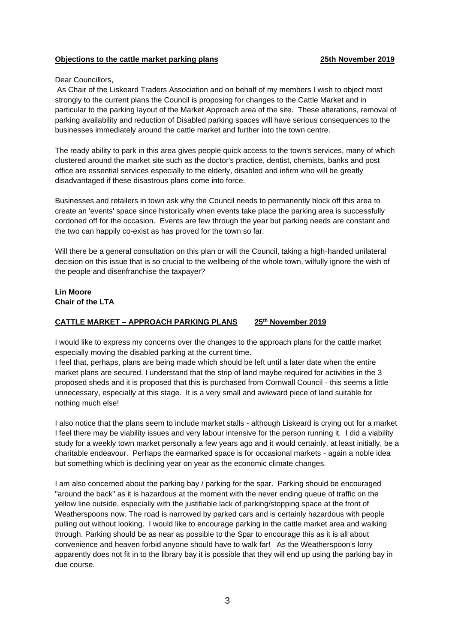## **Objections to the cattle market parking plans 25th November 2019**

### Dear Councillors,

As Chair of the Liskeard Traders Association and on behalf of my members I wish to object most strongly to the current plans the Council is proposing for changes to the Cattle Market and in particular to the parking layout of the Market Approach area of the site. These alterations, removal of parking availability and reduction of Disabled parking spaces will have serious consequences to the businesses immediately around the cattle market and further into the town centre.

The ready ability to park in this area gives people quick access to the town's services, many of which clustered around the market site such as the doctor's practice, dentist, chemists, banks and post office are essential services especially to the elderly, disabled and infirm who will be greatly disadvantaged if these disastrous plans come into force.

Businesses and retailers in town ask why the Council needs to permanently block off this area to create an 'events' space since historically when events take place the parking area is successfully cordoned off for the occasion. Events are few through the year but parking needs are constant and the two can happily co-exist as has proved for the town so far.

Will there be a general consultation on this plan or will the Council, taking a high-handed unilateral decision on this issue that is so crucial to the wellbeing of the whole town, wilfully ignore the wish of the people and disenfranchise the taxpayer?

## **Lin Moore Chair of the LTA**

## **CATTLE MARKET – APPROACH PARKING PLANS 25th November 2019**

I would like to express my concerns over the changes to the approach plans for the cattle market especially moving the disabled parking at the current time.

I feel that, perhaps, plans are being made which should be left until a later date when the entire market plans are secured. I understand that the strip of land maybe required for activities in the 3 proposed sheds and it is proposed that this is purchased from Cornwall Council - this seems a little unnecessary, especially at this stage. It is a very small and awkward piece of land suitable for nothing much else!

I also notice that the plans seem to include market stalls - although Liskeard is crying out for a market I feel there may be viability issues and very labour intensive for the person running it. I did a viability study for a weekly town market personally a few years ago and it would certainly, at least initially, be a charitable endeavour. Perhaps the earmarked space is for occasional markets - again a noble idea but something which is declining year on year as the economic climate changes.

I am also concerned about the parking bay / parking for the spar. Parking should be encouraged "around the back" as it is hazardous at the moment with the never ending queue of traffic on the yellow line outside, especially with the justifiable lack of parking/stopping space at the front of Weatherspoons now. The road is narrowed by parked cars and is certainly hazardous with people pulling out without looking. I would like to encourage parking in the cattle market area and walking through. Parking should be as near as possible to the Spar to encourage this as it is all about convenience and heaven forbid anyone should have to walk far! As the Weatherspoon's lorry apparently does not fit in to the library bay it is possible that they will end up using the parking bay in due course.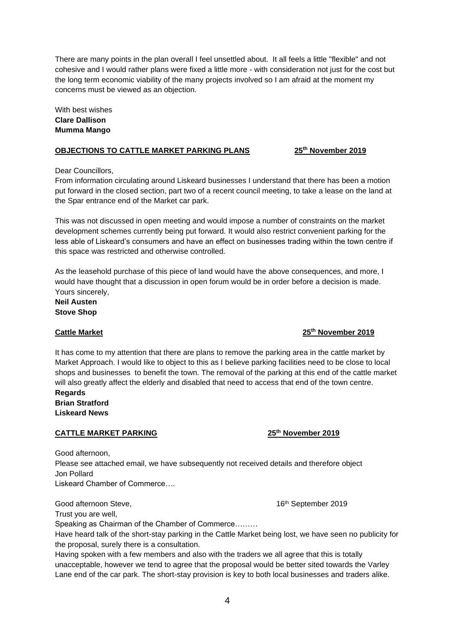There are many points in the plan overall I feel unsettled about. It all feels a little "flexible" and not cohesive and I would rather plans were fixed a little more - with consideration not just for the cost but the long term economic viability of the many projects involved so I am afraid at the moment my concerns must be viewed as an objection.

With best wishes **Clare Dallison Mumma Mango**

## **OBJECTIONS TO CATTLE MARKET PARKING PLANS 25th November 2019**

Dear Councillors,

From information circulating around Liskeard businesses I understand that there has been a motion put forward in the closed section, part two of a recent council meeting, to take a lease on the land at the Spar entrance end of the Market car park.

This was not discussed in open meeting and would impose a number of constraints on the market development schemes currently being put forward. It would also restrict convenient parking for the less able of Liskeard's consumers and have an effect on businesses trading within the town centre if this space was restricted and otherwise controlled.

As the leasehold purchase of this piece of land would have the above consequences, and more, I would have thought that a discussion in open forum would be in order before a decision is made. Yours sincerely,

**Neil Austen Stove Shop** 

# It has come to my attention that there are plans to remove the parking area in the cattle market by Market Approach. I would like to object to this as I believe parking facilities need to be close to local shops and businesses to benefit the town. The removal of the parking at this end of the cattle market will also greatly affect the elderly and disabled that need to access that end of the town centre.

**Regards Brian Stratford Liskeard News**

## **CATTLE MARKET PARKING 25th November 2019**

Good afternoon,

Please see attached email, we have subsequently not received details and therefore object Jon Pollard Liskeard Chamber of Commerce….

Good afternoon Steve, 16th September 2019

Trust you are well,

Speaking as Chairman of the Chamber of Commerce………

Have heard talk of the short-stay parking in the Cattle Market being lost, we have seen no publicity for the proposal, surely there is a consultation.

Having spoken with a few members and also with the traders we all agree that this is totally unacceptable, however we tend to agree that the proposal would be better sited towards the Varley Lane end of the car park. The short-stay provision is key to both local businesses and traders alike.

**Cattle Market 25th November 2019**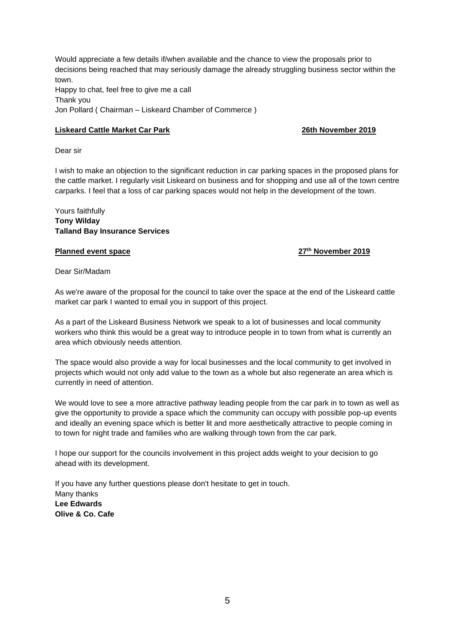Would appreciate a few details if/when available and the chance to view the proposals prior to decisions being reached that may seriously damage the already struggling business sector within the town. Happy to chat, feel free to give me a call Thank you Jon Pollard ( Chairman – Liskeard Chamber of Commerce )

## **Liskeard Cattle Market Car Park 26th November 2019**

Dear sir

I wish to make an objection to the significant reduction in car parking spaces in the proposed plans for the cattle market. I regularly visit Liskeard on business and for shopping and use all of the town centre carparks. I feel that a loss of car parking spaces would not help in the development of the town.

Yours faithfully **Tony Wilday Talland Bay Insurance Services**

## **Planned event space 27th November 2019**

Dear Sir/Madam

As we're aware of the proposal for the council to take over the space at the end of the Liskeard cattle market car park I wanted to email you in support of this project.

As a part of the Liskeard Business Network we speak to a lot of businesses and local community workers who think this would be a great way to introduce people in to town from what is currently an area which obviously needs attention.

The space would also provide a way for local businesses and the local community to get involved in projects which would not only add value to the town as a whole but also regenerate an area which is currently in need of attention.

We would love to see a more attractive pathway leading people from the car park in to town as well as give the opportunity to provide a space which the community can occupy with possible pop-up events and ideally an evening space which is better lit and more aesthetically attractive to people coming in to town for night trade and families who are walking through town from the car park.

I hope our support for the councils involvement in this project adds weight to your decision to go ahead with its development.

If you have any further questions please don't hesitate to get in touch. Many thanks **Lee Edwards Olive & Co. Cafe**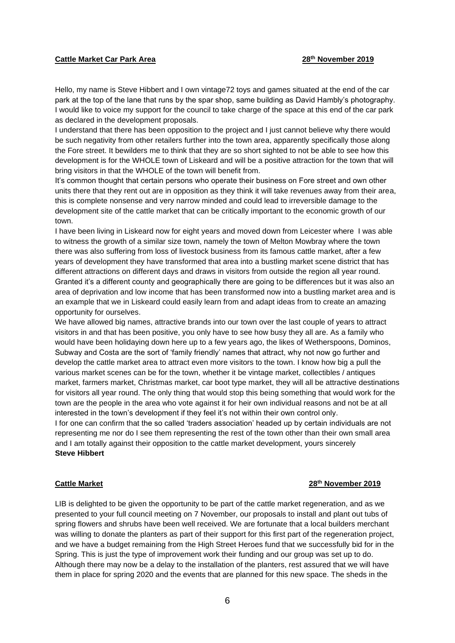### **Cattle Market Car Park Area 28th November 2019**

Hello, my name is Steve Hibbert and I own vintage72 toys and games situated at the end of the car park at the top of the lane that runs by the spar shop, same building as David Hambly's photography. I would like to voice my support for the council to take charge of the space at this end of the car park as declared in the development proposals.

I understand that there has been opposition to the project and I just cannot believe why there would be such negativity from other retailers further into the town area, apparently specifically those along the Fore street. It bewilders me to think that they are so short sighted to not be able to see how this development is for the WHOLE town of Liskeard and will be a positive attraction for the town that will bring visitors in that the WHOLE of the town will benefit from.

It's common thought that certain persons who operate their business on Fore street and own other units there that they rent out are in opposition as they think it will take revenues away from their area, this is complete nonsense and very narrow minded and could lead to irreversible damage to the development site of the cattle market that can be critically important to the economic growth of our town.

I have been living in Liskeard now for eight years and moved down from Leicester where I was able to witness the growth of a similar size town, namely the town of Melton Mowbray where the town there was also suffering from loss of livestock business from its famous cattle market, after a few years of development they have transformed that area into a bustling market scene district that has different attractions on different days and draws in visitors from outside the region all year round. Granted it's a different county and geographically there are going to be differences but it was also an area of deprivation and low income that has been transformed now into a bustling market area and is an example that we in Liskeard could easily learn from and adapt ideas from to create an amazing opportunity for ourselves.

We have allowed big names, attractive brands into our town over the last couple of years to attract visitors in and that has been positive, you only have to see how busy they all are. As a family who would have been holidaying down here up to a few years ago, the likes of Wetherspoons, Dominos, Subway and Costa are the sort of 'family friendly' names that attract, why not now go further and develop the cattle market area to attract even more visitors to the town. I know how big a pull the various market scenes can be for the town, whether it be vintage market, collectibles / antiques market, farmers market, Christmas market, car boot type market, they will all be attractive destinations for visitors all year round. The only thing that would stop this being something that would work for the town are the people in the area who vote against it for heir own individual reasons and not be at all interested in the town's development if they feel it's not within their own control only.

I for one can confirm that the so called 'traders association' headed up by certain individuals are not representing me nor do I see them representing the rest of the town other than their own small area and I am totally against their opposition to the cattle market development, yours sincerely **Steve Hibbert** 

### **Cattle Market 28th November 2019**

LIB is delighted to be given the opportunity to be part of the cattle market regeneration, and as we presented to your full council meeting on 7 November, our proposals to install and plant out tubs of spring flowers and shrubs have been well received. We are fortunate that a local builders merchant was willing to donate the planters as part of their support for this first part of the regeneration project, and we have a budget remaining from the High Street Heroes fund that we successfully bid for in the Spring. This is just the type of improvement work their funding and our group was set up to do. Although there may now be a delay to the installation of the planters, rest assured that we will have them in place for spring 2020 and the events that are planned for this new space. The sheds in the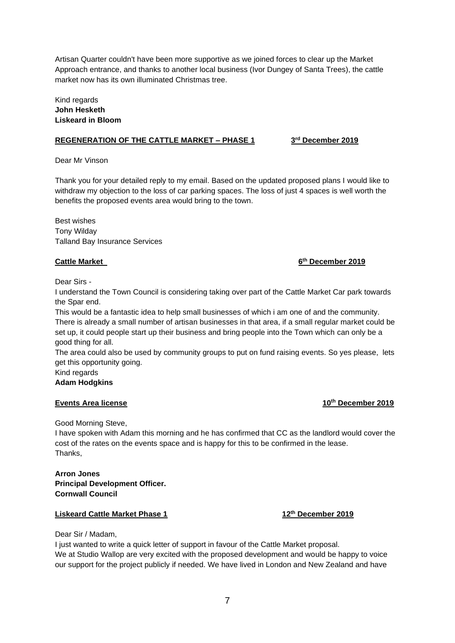Artisan Quarter couldn't have been more supportive as we joined forces to clear up the Market Approach entrance, and thanks to another local business (Ivor Dungey of Santa Trees), the cattle market now has its own illuminated Christmas tree.

## Kind regards **John Hesketh Liskeard in Bloom**

## **REGENERATION OF THE CATTLE MARKET – PHASE 1 3**

### **rd December 2019**

Dear Mr Vinson

Thank you for your detailed reply to my email. Based on the updated proposed plans I would like to withdraw my objection to the loss of car parking spaces. The loss of just 4 spaces is well worth the benefits the proposed events area would bring to the town.

Best wishes Tony Wilday Talland Bay Insurance Services

### **Cattle Market**

### **th December 2019**

Dear Sirs -

I understand the Town Council is considering taking over part of the Cattle Market Car park towards the Spar end.

This would be a fantastic idea to help small businesses of which i am one of and the community. There is already a small number of artisan businesses in that area, if a small regular market could be set up, it could people start up their business and bring people into the Town which can only be a good thing for all.

The area could also be used by community groups to put on fund raising events. So yes please, lets get this opportunity going.

Kind regards

## **Adam Hodgkins**

## **Events Area license 10<sup>th</sup> December 2019**

Good Morning Steve,

I have spoken with Adam this morning and he has confirmed that CC as the landlord would cover the cost of the rates on the events space and is happy for this to be confirmed in the lease. Thanks,

## **Arron Jones Principal Development Officer. Cornwall Council**

## **Liskeard Cattle Market Phase 1 12th December 2019**

Dear Sir / Madam,

I just wanted to write a quick letter of support in favour of the Cattle Market proposal. We at Studio Wallop are very excited with the proposed development and would be happy to voice our support for the project publicly if needed. We have lived in London and New Zealand and have